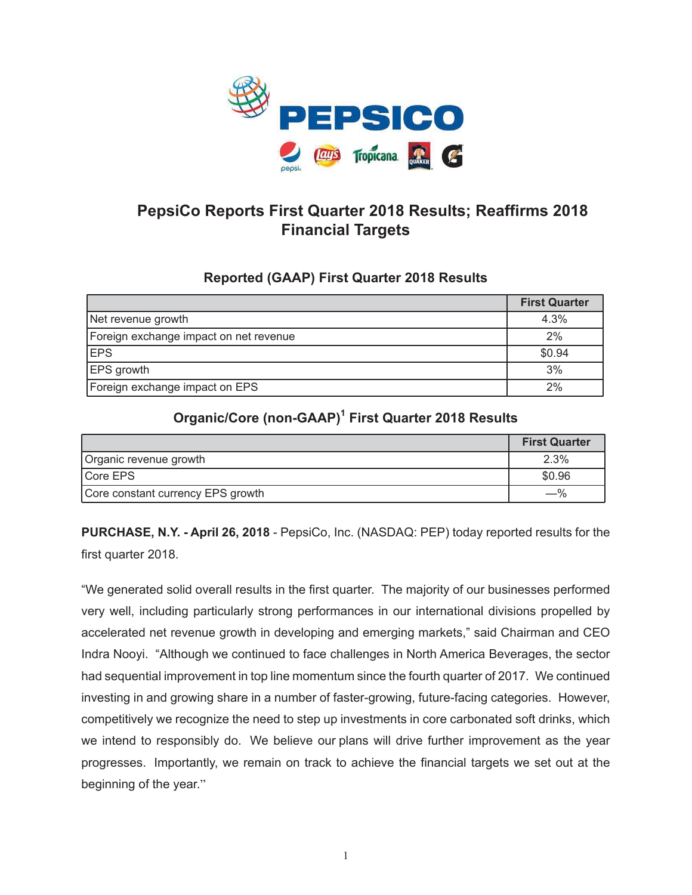

# **PepsiCo Reports First Quarter 2018 Results; Reaffirms 2018 Financial Targets**

# **Reported (GAAP) First Quarter 2018 Results**

|                                        | <b>First Quarter</b> |
|----------------------------------------|----------------------|
| Net revenue growth                     | 4.3%                 |
| Foreign exchange impact on net revenue | 2%                   |
| <b>EPS</b>                             | \$0.94               |
| EPS growth                             | 3%                   |
| Foreign exchange impact on EPS         | 2%                   |

# **Organic/Core (non-GAAP)1 First Quarter 2018 Results**

|                                   | <b>First Quarter</b> |
|-----------------------------------|----------------------|
| Organic revenue growth            | 2.3%                 |
| Core EPS                          | \$0.96               |
| Core constant currency EPS growth | $-\%$                |

**PURCHASE, N.Y. - April 26, 2018** - PepsiCo, Inc. (NASDAQ: PEP) today reported results for the first quarter 2018.

"We generated solid overall results in the first quarter. The majority of our businesses performed very well, including particularly strong performances in our international divisions propelled by accelerated net revenue growth in developing and emerging markets," said Chairman and CEO Indra Nooyi. "Although we continued to face challenges in North America Beverages, the sector had sequential improvement in top line momentum since the fourth quarter of 2017. We continued investing in and growing share in a number of faster-growing, future-facing categories. However, competitively we recognize the need to step up investments in core carbonated soft drinks, which we intend to responsibly do. We believe our plans will drive further improvement as the year progresses. Importantly, we remain on track to achieve the financial targets we set out at the beginning of the year."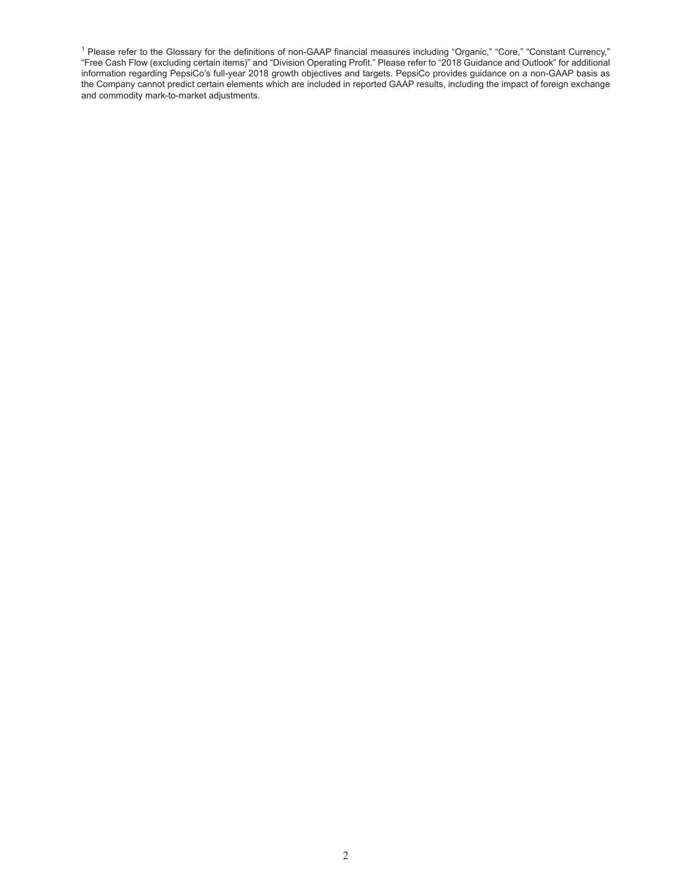<sup>1</sup> Please refer to the Glossary for the definitions of non-GAAP financial measures including "Organic," "Core," "Constant Currency," "Free Cash Flow (excluding certain items)" and "Division Operating Profit." Please refer to "2018 Guidance and Outlook" for additional information regarding PepsiCo's full-year 2018 growth objectives and targets. PepsiCo provides guidance on a non-GAAP basis as the Company cannot predict certain elements which are included in reported GAAP results, including the impact of foreign exchange and commodity mark-to-market adjustments.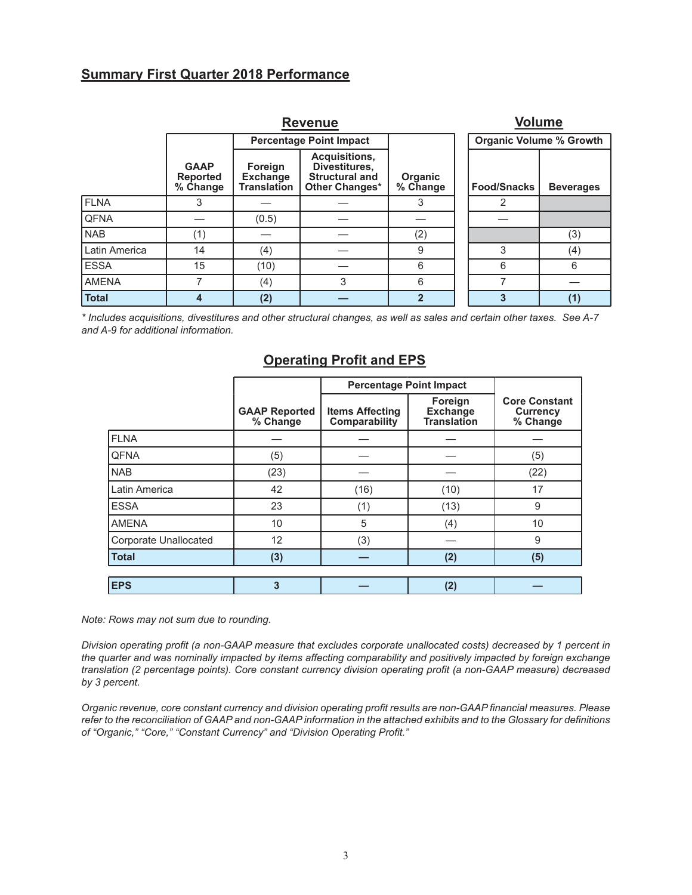### **Summary First Quarter 2018 Performance**

|               |                                            | <b>Volume</b>                                    |                                                                           |                     |                                |                  |  |
|---------------|--------------------------------------------|--------------------------------------------------|---------------------------------------------------------------------------|---------------------|--------------------------------|------------------|--|
|               |                                            |                                                  | <b>Percentage Point Impact</b>                                            |                     | <b>Organic Volume % Growth</b> |                  |  |
|               | <b>GAAP</b><br><b>Reported</b><br>% Change | Foreign<br><b>Exchange</b><br><b>Translation</b> | Acquisitions,<br>Divestitures,<br><b>Structural and</b><br>Other Changes* | Organic<br>% Change | <b>Food/Snacks</b>             | <b>Beverages</b> |  |
| <b>FLNA</b>   | 3                                          |                                                  |                                                                           | 3                   | 2                              |                  |  |
| <b>QFNA</b>   |                                            | (0.5)                                            |                                                                           |                     |                                |                  |  |
| <b>NAB</b>    | (1)                                        |                                                  |                                                                           | (2)                 |                                | (3)              |  |
| Latin America | 14                                         | (4)                                              |                                                                           | 9                   | 3                              | (4)              |  |
| <b>ESSA</b>   | 15                                         | (10)                                             |                                                                           | 6                   | 6                              | 6                |  |
| <b>AMENA</b>  | 7                                          | (4)                                              | 3                                                                         | 6                   |                                |                  |  |
| <b>Total</b>  | 4                                          | (2)                                              |                                                                           | $\overline{2}$      | 3                              | (1)              |  |

*\* Includes acquisitions, divestitures and other structural changes, as well as sales and certain other taxes. See A-7 and A-9 for additional information.*

### **Operating Profit and EPS**

|                              |                                  | <b>Percentage Point Impact</b>          |                                                  |                                                     |
|------------------------------|----------------------------------|-----------------------------------------|--------------------------------------------------|-----------------------------------------------------|
|                              | <b>GAAP Reported</b><br>% Change | <b>Items Affecting</b><br>Comparability | Foreign<br><b>Exchange</b><br><b>Translation</b> | <b>Core Constant</b><br><b>Currency</b><br>% Change |
| <b>FLNA</b>                  |                                  |                                         |                                                  |                                                     |
| <b>QFNA</b>                  | (5)                              |                                         |                                                  | (5)                                                 |
| <b>NAB</b>                   | (23)                             |                                         |                                                  | (22)                                                |
| Latin America                | 42                               | (16)                                    | (10)                                             | 17                                                  |
| <b>ESSA</b>                  | 23                               | (1)                                     | (13)                                             | 9                                                   |
| <b>AMENA</b>                 | 10                               | 5                                       | (4)                                              | 10                                                  |
| <b>Corporate Unallocated</b> | 12                               | (3)                                     |                                                  | 9                                                   |
| <b>Total</b>                 | (3)                              |                                         | (2)                                              | (5)                                                 |
| <b>EPS</b>                   | 3                                |                                         | (2)                                              |                                                     |

*Note: Rows may not sum due to rounding.*

*Division operating profit (a non-GAAP measure that excludes corporate unallocated costs) decreased by 1 percent in the quarter and was nominally impacted by items affecting comparability and positively impacted by foreign exchange translation (2 percentage points). Core constant currency division operating profit (a non-GAAP measure) decreased by 3 percent.*

*Organic revenue, core constant currency and division operating profit results are non-GAAP financial measures. Please refer to the reconciliation of GAAP and non-GAAP information in the attached exhibits and to the Glossary for definitions of "Organic," "Core," "Constant Currency" and "Division Operating Profit."*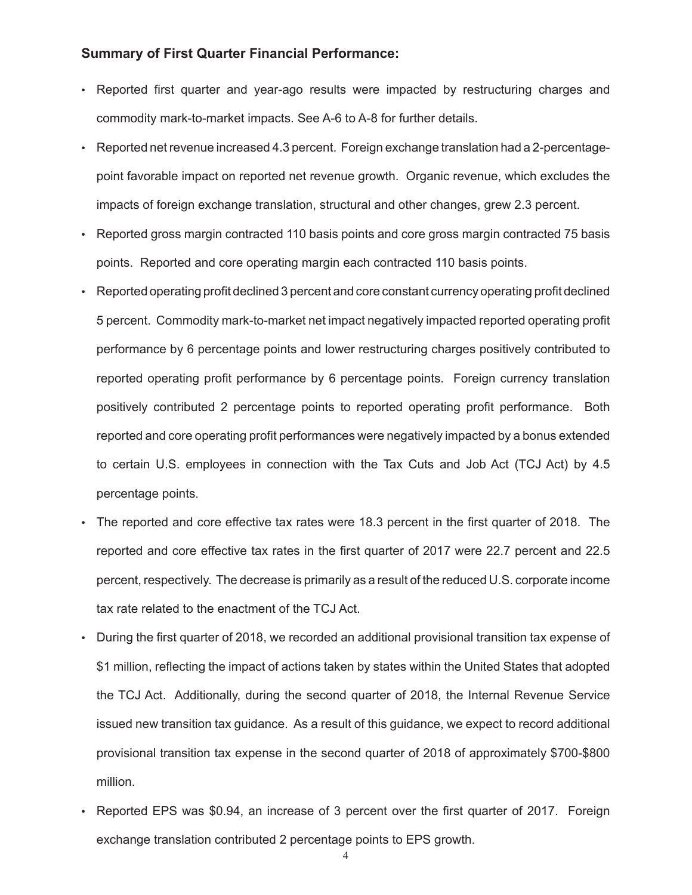### **Summary of First Quarter Financial Performance:**

- Reported first quarter and year-ago results were impacted by restructuring charges and commodity mark-to-market impacts. See A-6 to A-8 for further details.
- Reported net revenue increased 4.3 percent. Foreign exchange translation had a 2-percentagepoint favorable impact on reported net revenue growth. Organic revenue, which excludes the impacts of foreign exchange translation, structural and other changes, grew 2.3 percent.
- Reported gross margin contracted 110 basis points and core gross margin contracted 75 basis points. Reported and core operating margin each contracted 110 basis points.
- Reported operating profit declined 3 percent and core constant currency operating profit declined 5 percent. Commodity mark-to-market net impact negatively impacted reported operating profit performance by 6 percentage points and lower restructuring charges positively contributed to reported operating profit performance by 6 percentage points. Foreign currency translation positively contributed 2 percentage points to reported operating profit performance. Both reported and core operating profit performances were negatively impacted by a bonus extended to certain U.S. employees in connection with the Tax Cuts and Job Act (TCJ Act) by 4.5 percentage points.
- The reported and core effective tax rates were 18.3 percent in the first quarter of 2018. The reported and core effective tax rates in the first quarter of 2017 were 22.7 percent and 22.5 percent, respectively. The decrease is primarily as a result of the reduced U.S. corporate income tax rate related to the enactment of the TCJ Act.
- During the first quarter of 2018, we recorded an additional provisional transition tax expense of \$1 million, reflecting the impact of actions taken by states within the United States that adopted the TCJ Act. Additionally, during the second quarter of 2018, the Internal Revenue Service issued new transition tax guidance. As a result of this guidance, we expect to record additional provisional transition tax expense in the second quarter of 2018 of approximately \$700-\$800 million.
- Reported EPS was \$0.94, an increase of 3 percent over the first quarter of 2017. Foreign exchange translation contributed 2 percentage points to EPS growth.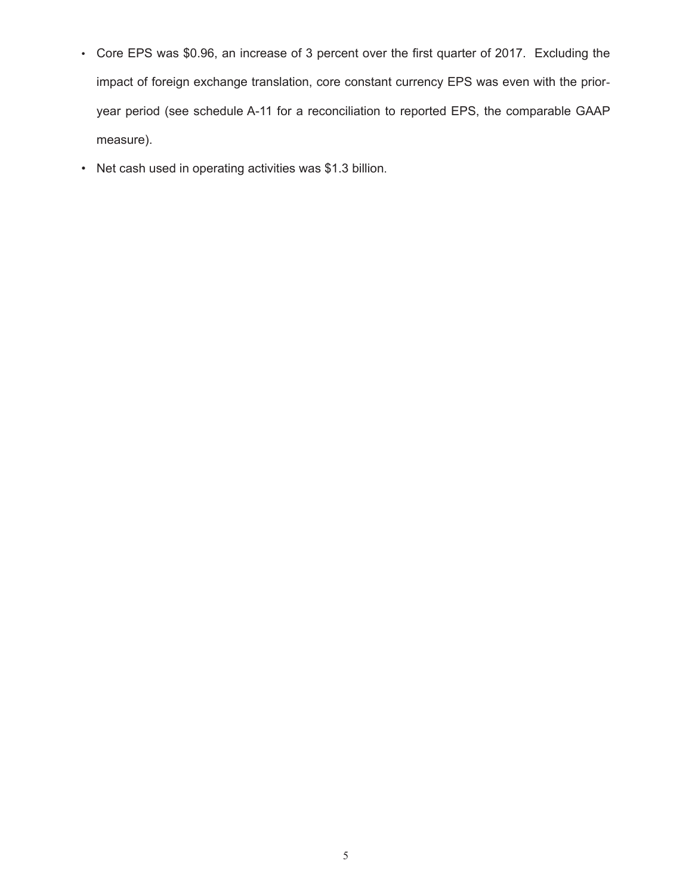- Core EPS was \$0.96, an increase of 3 percent over the first quarter of 2017. Excluding the impact of foreign exchange translation, core constant currency EPS was even with the prioryear period (see schedule A-11 for a reconciliation to reported EPS, the comparable GAAP measure).
- Net cash used in operating activities was \$1.3 billion.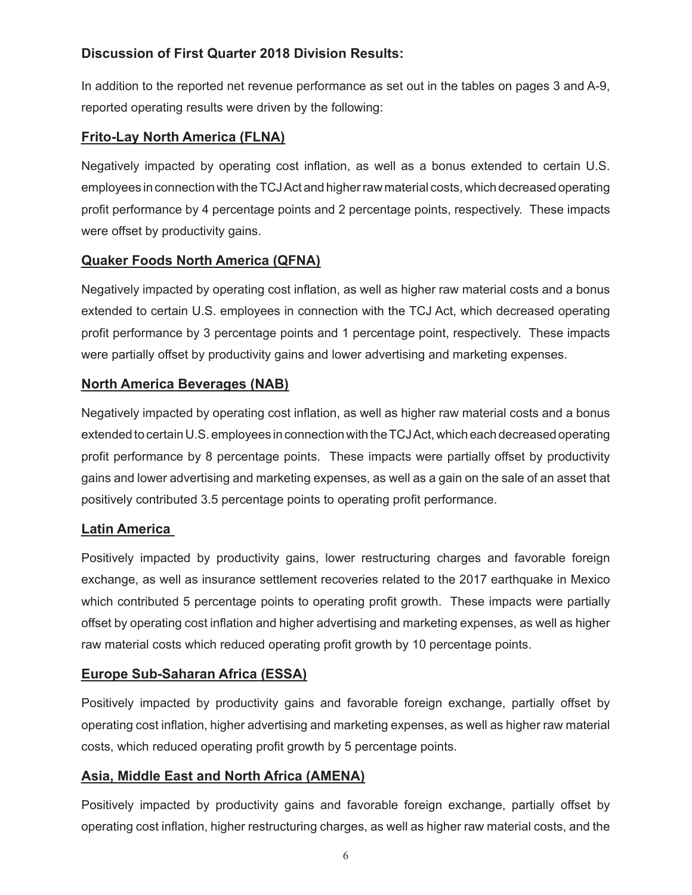# **Discussion of First Quarter 2018 Division Results:**

In addition to the reported net revenue performance as set out in the tables on pages 3 and A-9, reported operating results were driven by the following:

### **Frito-Lay North America (FLNA)**

Negatively impacted by operating cost inflation, as well as a bonus extended to certain U.S. employees in connection with the TCJ Act and higher raw material costs, which decreased operating profit performance by 4 percentage points and 2 percentage points, respectively. These impacts were offset by productivity gains.

# **Quaker Foods North America (QFNA)**

Negatively impacted by operating cost inflation, as well as higher raw material costs and a bonus extended to certain U.S. employees in connection with the TCJ Act, which decreased operating profit performance by 3 percentage points and 1 percentage point, respectively. These impacts were partially offset by productivity gains and lower advertising and marketing expenses.

# **North America Beverages (NAB)**

Negatively impacted by operating cost inflation, as well as higher raw material costs and a bonus extended to certain U.S. employees in connection with the TCJ Act, which each decreased operating profit performance by 8 percentage points. These impacts were partially offset by productivity gains and lower advertising and marketing expenses, as well as a gain on the sale of an asset that positively contributed 3.5 percentage points to operating profit performance.

# **Latin America**

Positively impacted by productivity gains, lower restructuring charges and favorable foreign exchange, as well as insurance settlement recoveries related to the 2017 earthquake in Mexico which contributed 5 percentage points to operating profit growth. These impacts were partially offset by operating cost inflation and higher advertising and marketing expenses, as well as higher raw material costs which reduced operating profit growth by 10 percentage points.

# **Europe Sub-Saharan Africa (ESSA)**

Positively impacted by productivity gains and favorable foreign exchange, partially offset by operating cost inflation, higher advertising and marketing expenses, as well as higher raw material costs, which reduced operating profit growth by 5 percentage points.

# **Asia, Middle East and North Africa (AMENA)**

Positively impacted by productivity gains and favorable foreign exchange, partially offset by operating cost inflation, higher restructuring charges, as well as higher raw material costs, and the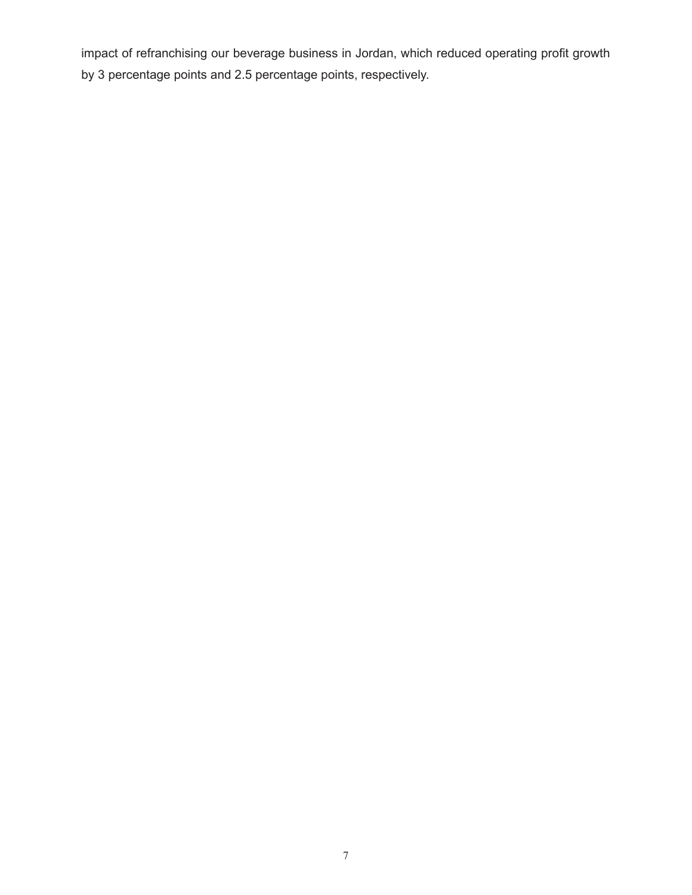impact of refranchising our beverage business in Jordan, which reduced operating profit growth by 3 percentage points and 2.5 percentage points, respectively.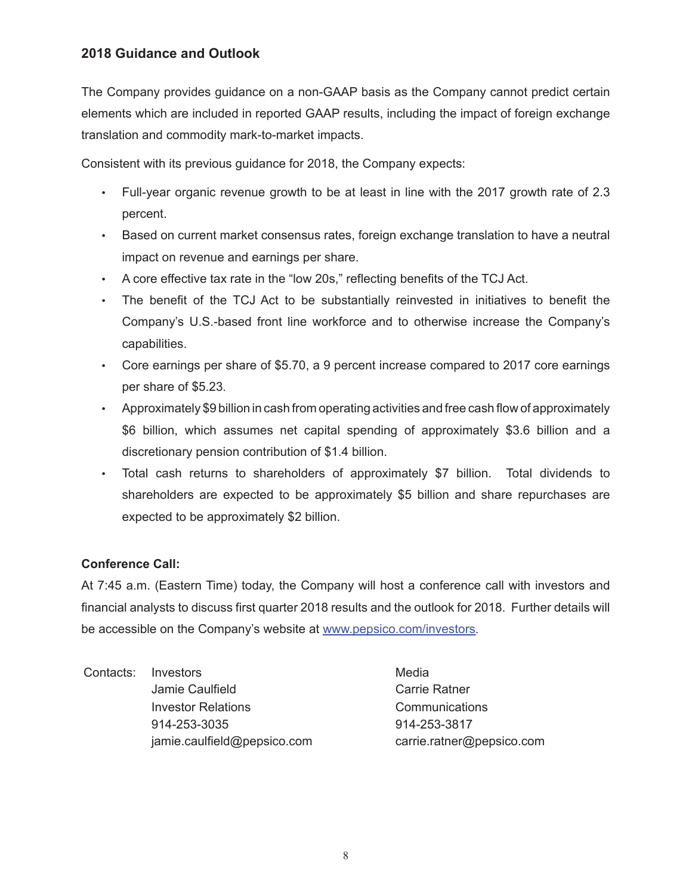### **2018 Guidance and Outlook**

The Company provides guidance on a non-GAAP basis as the Company cannot predict certain elements which are included in reported GAAP results, including the impact of foreign exchange translation and commodity mark-to-market impacts.

Consistent with its previous guidance for 2018, the Company expects:

- Full-year organic revenue growth to be at least in line with the 2017 growth rate of 2.3 percent.
- Based on current market consensus rates, foreign exchange translation to have a neutral impact on revenue and earnings per share.
- A core effective tax rate in the "low 20s," reflecting benefits of the TCJ Act.
- The benefit of the TCJ Act to be substantially reinvested in initiatives to benefit the Company's U.S.-based front line workforce and to otherwise increase the Company's capabilities.
- Core earnings per share of \$5.70, a 9 percent increase compared to 2017 core earnings per share of \$5.23.
- Approximately \$9 billion in cash from operating activities and free cash flow of approximately \$6 billion, which assumes net capital spending of approximately \$3.6 billion and a discretionary pension contribution of \$1.4 billion.
- Total cash returns to shareholders of approximately \$7 billion. Total dividends to shareholders are expected to be approximately \$5 billion and share repurchases are expected to be approximately \$2 billion.

### **Conference Call:**

At 7:45 a.m. (Eastern Time) today, the Company will host a conference call with investors and financial analysts to discuss first quarter 2018 results and the outlook for 2018. Further details will be accessible on the Company's website at www.pepsico.com/investors.

Contacts: Investors **Media** Media Jamie Caulfield **Carrie Ratner** Investor Relations Communications 914-253-3035 914-253-3817 jamie.caulfield@pepsico.com carrie.ratner@pepsico.com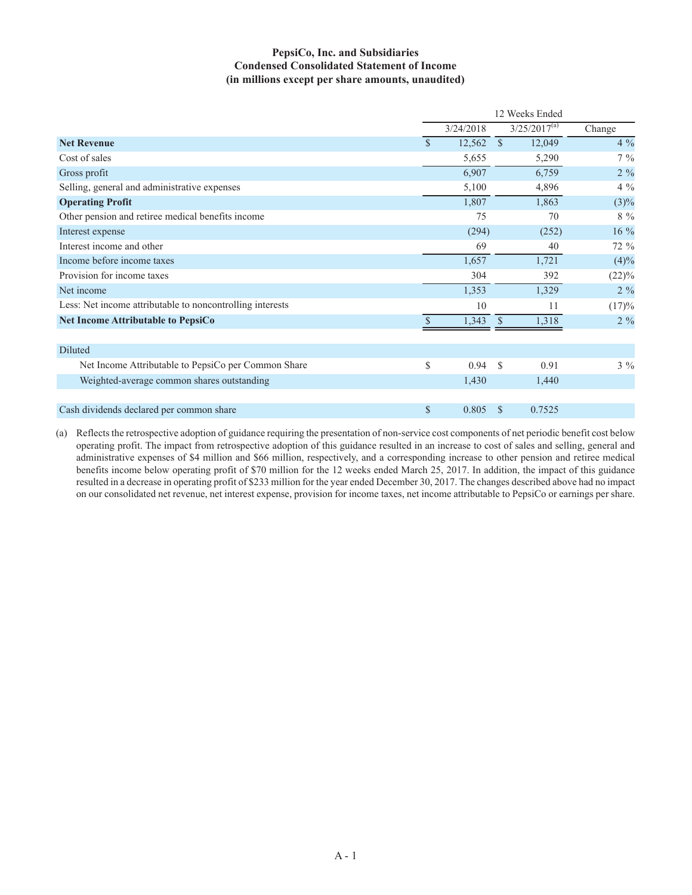#### **PepsiCo, Inc. and Subsidiaries Condensed Consolidated Statement of Income (in millions except per share amounts, unaudited)**

|                                                           |               |           |               | 12 Weeks Ended    |          |
|-----------------------------------------------------------|---------------|-----------|---------------|-------------------|----------|
|                                                           |               | 3/24/2018 |               | $3/25/2017^{(a)}$ | Change   |
| <b>Net Revenue</b>                                        | $\mathcal{S}$ | 12,562    | $\mathcal{S}$ | 12,049            | $4\%$    |
| Cost of sales                                             |               | 5,655     |               | 5,290             | $7\%$    |
| Gross profit                                              |               | 6,907     |               | 6,759             | $2\%$    |
| Selling, general and administrative expenses              |               | 5,100     |               | 4,896             | $4\%$    |
| <b>Operating Profit</b>                                   |               | 1,807     |               | 1,863             | $(3)\%$  |
| Other pension and retiree medical benefits income         |               | 75        |               | 70                | $8\%$    |
| Interest expense                                          |               | (294)     |               | (252)             | 16 %     |
| Interest income and other                                 |               | 69        |               | 40                | 72 %     |
| Income before income taxes                                |               | 1,657     |               | 1,721             | (4)%     |
| Provision for income taxes                                |               | 304       |               | 392               | $(22)\%$ |
| Net income                                                |               | 1,353     |               | 1,329             | $2\%$    |
| Less: Net income attributable to noncontrolling interests |               | 10        |               | 11                | (17)%    |
| <b>Net Income Attributable to PepsiCo</b>                 | \$            | 1,343     | <sup>\$</sup> | 1,318             | $2\%$    |
| <b>Diluted</b>                                            |               |           |               |                   |          |
| Net Income Attributable to PepsiCo per Common Share       | \$            | 0.94      | <sup>\$</sup> | 0.91              | $3\%$    |
| Weighted-average common shares outstanding                |               | 1,430     |               | 1,440             |          |
|                                                           |               |           |               |                   |          |
| Cash dividends declared per common share                  | $\mathbb{S}$  | 0.805     | <sup>\$</sup> | 0.7525            |          |

(a) Reflects the retrospective adoption of guidance requiring the presentation of non-service cost components of net periodic benefit cost below operating profit. The impact from retrospective adoption of this guidance resulted in an increase to cost of sales and selling, general and administrative expenses of \$4 million and \$66 million, respectively, and a corresponding increase to other pension and retiree medical benefits income below operating profit of \$70 million for the 12 weeks ended March 25, 2017. In addition, the impact of this guidance resulted in a decrease in operating profit of \$233 million for the year ended December 30, 2017. The changes described above had no impact on our consolidated net revenue, net interest expense, provision for income taxes, net income attributable to PepsiCo or earnings per share.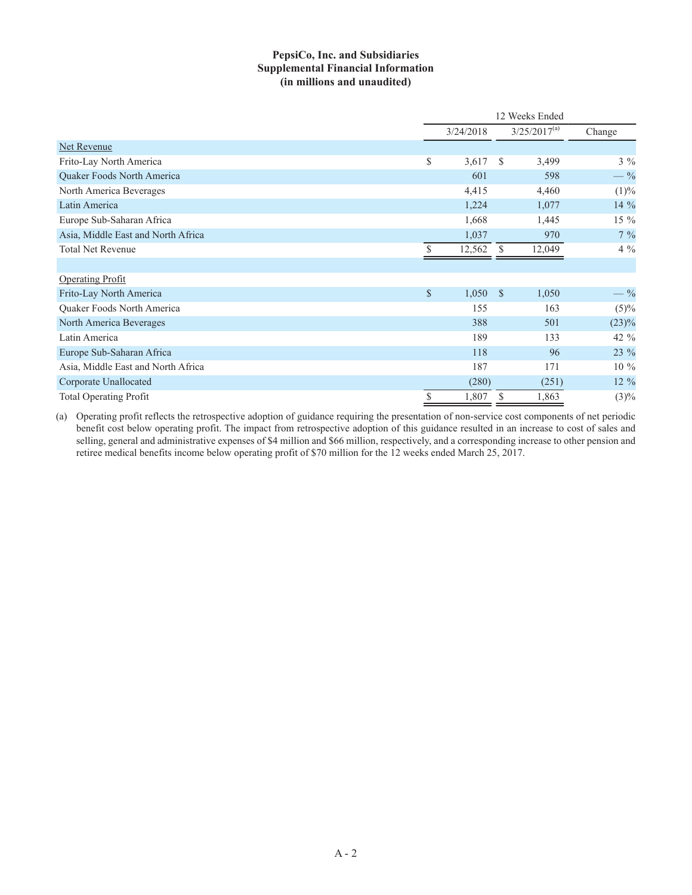#### **PepsiCo, Inc. and Subsidiaries Supplemental Financial Information (in millions and unaudited)**

|                                    |               | 12 Weeks Ended |               |                   |          |  |  |
|------------------------------------|---------------|----------------|---------------|-------------------|----------|--|--|
|                                    |               | 3/24/2018      |               | $3/25/2017^{(a)}$ | Change   |  |  |
| <b>Net Revenue</b>                 |               |                |               |                   |          |  |  |
| Frito-Lay North America            | \$            | 3,617          | <sup>\$</sup> | 3,499             | $3\%$    |  |  |
| Quaker Foods North America         |               | 601            |               | 598               | $-$ %    |  |  |
| North America Beverages            |               | 4,415          |               | 4,460             | (1)%     |  |  |
| Latin America                      |               | 1,224          |               | 1,077             | 14 %     |  |  |
| Europe Sub-Saharan Africa          |               | 1,668          |               | 1,445             | 15 %     |  |  |
| Asia, Middle East and North Africa |               | 1,037          |               | 970               | $7\%$    |  |  |
| <b>Total Net Revenue</b>           |               | 12,562         | <sup>\$</sup> | 12,049            | $4\%$    |  |  |
|                                    |               |                |               |                   |          |  |  |
| <b>Operating Profit</b>            |               |                |               |                   |          |  |  |
| Frito-Lay North America            | $\mathsf{\$}$ | 1,050          | <sup>S</sup>  | 1,050             | $-$ %    |  |  |
| Quaker Foods North America         |               | 155            |               | 163               | (5)%     |  |  |
| North America Beverages            |               | 388            |               | 501               | $(23)\%$ |  |  |
| Latin America                      |               | 189            |               | 133               | 42 %     |  |  |
| Europe Sub-Saharan Africa          |               | 118            |               | 96                | 23 %     |  |  |
| Asia, Middle East and North Africa |               | 187            |               | 171               | $10\%$   |  |  |
| Corporate Unallocated              |               | (280)          |               | (251)             | $12\%$   |  |  |
| <b>Total Operating Profit</b>      | \$            | 1,807          | S             | 1,863             | $(3)\%$  |  |  |

(a) Operating profit reflects the retrospective adoption of guidance requiring the presentation of non-service cost components of net periodic benefit cost below operating profit. The impact from retrospective adoption of this guidance resulted in an increase to cost of sales and selling, general and administrative expenses of \$4 million and \$66 million, respectively, and a corresponding increase to other pension and retiree medical benefits income below operating profit of \$70 million for the 12 weeks ended March 25, 2017.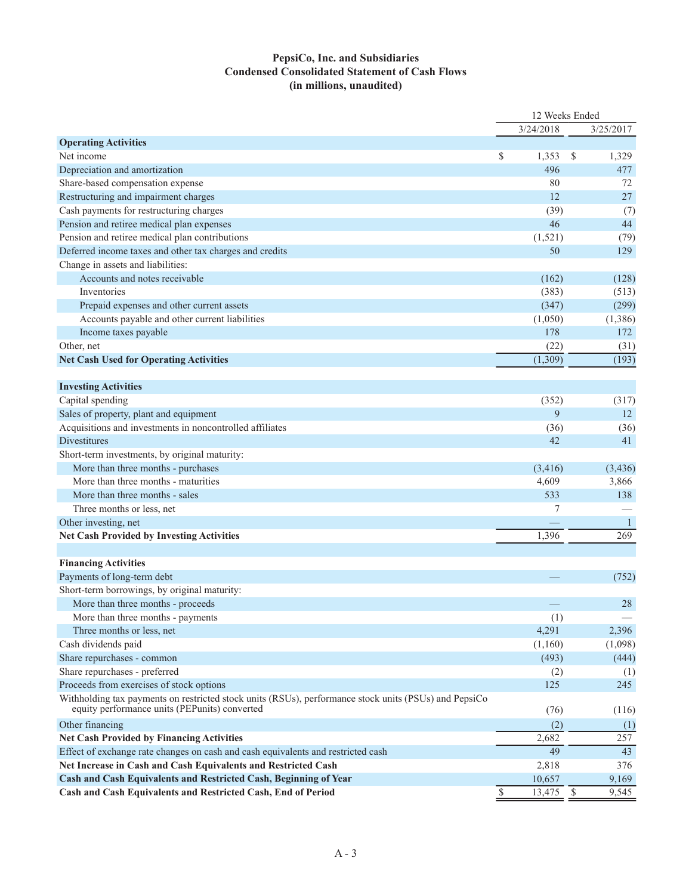#### **PepsiCo, Inc. and Subsidiaries Condensed Consolidated Statement of Cash Flows (in millions, unaudited)**

|                                                                                                                                                        |              | 12 Weeks Ended |              |                     |
|--------------------------------------------------------------------------------------------------------------------------------------------------------|--------------|----------------|--------------|---------------------|
|                                                                                                                                                        |              | 3/24/2018      |              | 3/25/2017           |
| <b>Operating Activities</b>                                                                                                                            |              |                |              |                     |
| Net income                                                                                                                                             | \$           | 1,353          | $\mathbb{S}$ | 1,329               |
| Depreciation and amortization                                                                                                                          |              | 496            |              | 477                 |
| Share-based compensation expense                                                                                                                       |              | 80             |              | 72                  |
| Restructuring and impairment charges                                                                                                                   |              | 12             |              | 27                  |
| Cash payments for restructuring charges                                                                                                                |              | (39)           |              | (7)                 |
| Pension and retiree medical plan expenses                                                                                                              |              | 46             |              | 44                  |
| Pension and retiree medical plan contributions                                                                                                         |              | (1,521)        |              | (79)                |
| Deferred income taxes and other tax charges and credits                                                                                                |              | 50             |              | 129                 |
| Change in assets and liabilities:                                                                                                                      |              |                |              |                     |
| Accounts and notes receivable                                                                                                                          |              | (162)          |              | (128)               |
| Inventories                                                                                                                                            |              | (383)          |              | (513)               |
| Prepaid expenses and other current assets                                                                                                              |              | (347)          |              | (299)               |
| Accounts payable and other current liabilities                                                                                                         |              | (1,050)        |              | (1,386)             |
| Income taxes payable                                                                                                                                   |              | 178            |              | 172                 |
| Other, net                                                                                                                                             |              | (22)           |              | (31)                |
| <b>Net Cash Used for Operating Activities</b>                                                                                                          |              | (1, 309)       |              | (193)               |
|                                                                                                                                                        |              |                |              |                     |
| <b>Investing Activities</b>                                                                                                                            |              |                |              |                     |
| Capital spending                                                                                                                                       |              | (352)          |              | (317)               |
| Sales of property, plant and equipment                                                                                                                 |              | 9              |              | 12                  |
| Acquisitions and investments in noncontrolled affiliates                                                                                               |              | (36)           |              | (36)                |
| Divestitures                                                                                                                                           |              | 42             |              | 41                  |
| Short-term investments, by original maturity:                                                                                                          |              |                |              |                     |
| More than three months - purchases                                                                                                                     |              | (3, 416)       |              | (3,436)             |
| More than three months - maturities                                                                                                                    |              | 4,609          |              | 3,866               |
| More than three months - sales                                                                                                                         |              | 533            |              | 138                 |
| Three months or less, net                                                                                                                              |              | 7              |              |                     |
|                                                                                                                                                        |              |                |              |                     |
| Other investing, net                                                                                                                                   |              |                |              | $\mathbf{1}$<br>269 |
| <b>Net Cash Provided by Investing Activities</b>                                                                                                       |              | 1,396          |              |                     |
| <b>Financing Activities</b>                                                                                                                            |              |                |              |                     |
|                                                                                                                                                        |              |                |              |                     |
| Payments of long-term debt                                                                                                                             |              |                |              | (752)               |
| Short-term borrowings, by original maturity:                                                                                                           |              |                |              |                     |
| More than three months - proceeds                                                                                                                      |              |                |              | 28                  |
| More than three months - payments                                                                                                                      |              | (1)            |              |                     |
| Three months or less, net                                                                                                                              |              | 4,291          |              | 2,396               |
| Cash dividends paid                                                                                                                                    |              | (1,160)        |              | (1,098)             |
| Share repurchases - common                                                                                                                             |              | (493)          |              | (444)               |
| Share repurchases - preferred                                                                                                                          |              | (2)            |              | (1)                 |
| Proceeds from exercises of stock options                                                                                                               |              | 125            |              | 245                 |
| Withholding tax payments on restricted stock units (RSUs), performance stock units (PSUs) and PepsiCo<br>equity performance units (PEPunits) converted |              | (76)           |              | (116)               |
| Other financing                                                                                                                                        |              | (2)            |              | (1)                 |
| <b>Net Cash Provided by Financing Activities</b>                                                                                                       |              | 2,682          |              | 257                 |
| Effect of exchange rate changes on cash and cash equivalents and restricted cash                                                                       |              | 49             |              | 43                  |
| Net Increase in Cash and Cash Equivalents and Restricted Cash                                                                                          |              | 2,818          |              | 376                 |
| Cash and Cash Equivalents and Restricted Cash, Beginning of Year                                                                                       |              | 10,657         |              | 9,169               |
| Cash and Cash Equivalents and Restricted Cash, End of Period                                                                                           | $\mathbb{S}$ | 13,475 \$      |              | 9,545               |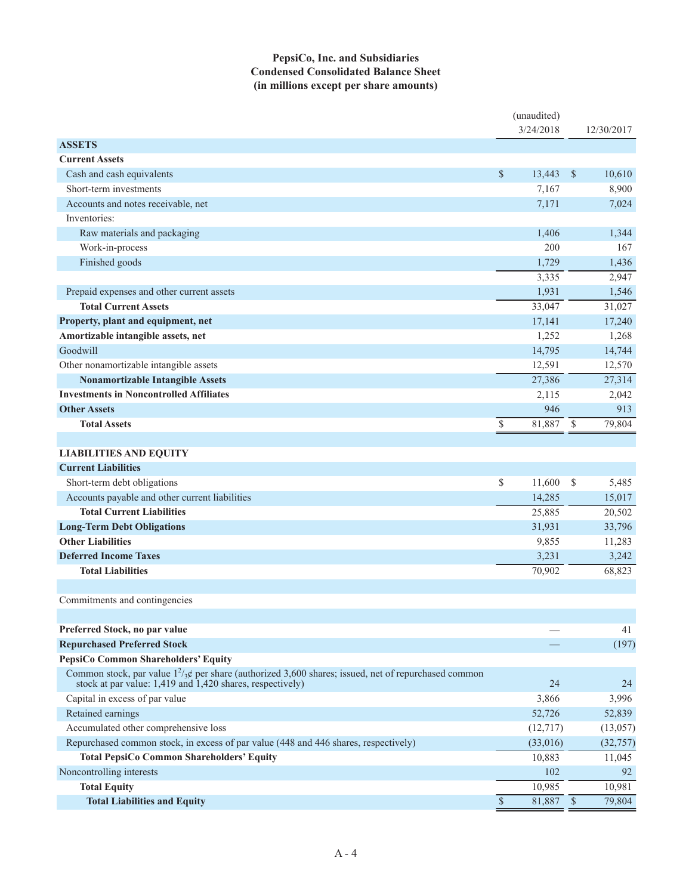#### **PepsiCo, Inc. and Subsidiaries Condensed Consolidated Balance Sheet (in millions except per share amounts)**

|                                                                                                                                                                      |                          | (unaudited)<br>3/24/2018 |               | 12/30/2017 |
|----------------------------------------------------------------------------------------------------------------------------------------------------------------------|--------------------------|--------------------------|---------------|------------|
| <b>ASSETS</b>                                                                                                                                                        |                          |                          |               |            |
| <b>Current Assets</b>                                                                                                                                                |                          |                          |               |            |
| Cash and cash equivalents                                                                                                                                            | \$                       | 13,443                   | $\mathcal{S}$ | 10,610     |
| Short-term investments                                                                                                                                               |                          | 7,167                    |               | 8,900      |
| Accounts and notes receivable, net                                                                                                                                   |                          | 7,171                    |               | 7,024      |
| Inventories:                                                                                                                                                         |                          |                          |               |            |
| Raw materials and packaging                                                                                                                                          |                          | 1,406                    |               | 1,344      |
| Work-in-process                                                                                                                                                      |                          | 200                      |               | 167        |
| Finished goods                                                                                                                                                       |                          | 1,729                    |               | 1,436      |
|                                                                                                                                                                      |                          | 3,335                    |               | 2,947      |
| Prepaid expenses and other current assets                                                                                                                            |                          | 1,931                    |               | 1,546      |
| <b>Total Current Assets</b>                                                                                                                                          |                          | 33,047                   |               | 31,027     |
| Property, plant and equipment, net                                                                                                                                   |                          | 17,141                   |               | 17,240     |
| Amortizable intangible assets, net                                                                                                                                   |                          | 1,252                    |               | 1,268      |
| Goodwill                                                                                                                                                             |                          | 14,795                   |               | 14,744     |
| Other nonamortizable intangible assets                                                                                                                               |                          | 12,591                   |               | 12,570     |
| <b>Nonamortizable Intangible Assets</b>                                                                                                                              |                          | 27,386                   |               | 27,314     |
| <b>Investments in Noncontrolled Affiliates</b>                                                                                                                       |                          | 2,115                    |               | 2,042      |
| <b>Other Assets</b>                                                                                                                                                  |                          | 946                      |               | 913        |
| <b>Total Assets</b>                                                                                                                                                  | \$                       | 81,887                   | - \$          | 79,804     |
|                                                                                                                                                                      |                          |                          |               |            |
| <b>LIABILITIES AND EQUITY</b>                                                                                                                                        |                          |                          |               |            |
| <b>Current Liabilities</b>                                                                                                                                           |                          |                          |               |            |
| Short-term debt obligations                                                                                                                                          | \$                       | 11,600                   | $\mathcal{S}$ | 5,485      |
| Accounts payable and other current liabilities                                                                                                                       |                          | 14,285                   |               | 15,017     |
| <b>Total Current Liabilities</b>                                                                                                                                     |                          | 25,885                   |               | 20,502     |
| <b>Long-Term Debt Obligations</b>                                                                                                                                    |                          | 31,931                   |               | 33,796     |
| <b>Other Liabilities</b>                                                                                                                                             |                          | 9,855                    |               | 11,283     |
| <b>Deferred Income Taxes</b>                                                                                                                                         |                          | 3,231                    |               | 3,242      |
| <b>Total Liabilities</b>                                                                                                                                             |                          | 70,902                   |               | 68,823     |
|                                                                                                                                                                      |                          |                          |               |            |
| Commitments and contingencies                                                                                                                                        |                          |                          |               |            |
|                                                                                                                                                                      |                          |                          |               |            |
| Preferred Stock, no par value                                                                                                                                        |                          |                          |               | 41         |
| <b>Repurchased Preferred Stock</b>                                                                                                                                   |                          |                          |               | (197)      |
| PepsiCo Common Shareholders' Equity                                                                                                                                  |                          |                          |               |            |
| Common stock, par value $1^2/3$ g per share (authorized 3,600 shares; issued, net of repurchased common<br>stock at par value: 1,419 and 1,420 shares, respectively) |                          | 24                       |               | 24         |
| Capital in excess of par value                                                                                                                                       |                          | 3,866                    |               | 3,996      |
| Retained earnings                                                                                                                                                    |                          | 52,726                   |               | 52,839     |
| Accumulated other comprehensive loss                                                                                                                                 |                          | (12, 717)                |               | (13, 057)  |
| Repurchased common stock, in excess of par value (448 and 446 shares, respectively)                                                                                  |                          | (33,016)                 |               | (32, 757)  |
| <b>Total PepsiCo Common Shareholders' Equity</b>                                                                                                                     |                          | 10,883                   |               | 11,045     |
| Noncontrolling interests                                                                                                                                             |                          | 102                      |               | 92         |
| <b>Total Equity</b>                                                                                                                                                  |                          | 10,985                   |               | 10,981     |
| <b>Total Liabilities and Equity</b>                                                                                                                                  | $\overline{\mathcal{S}}$ | $81,887$ \$              |               | 79,804     |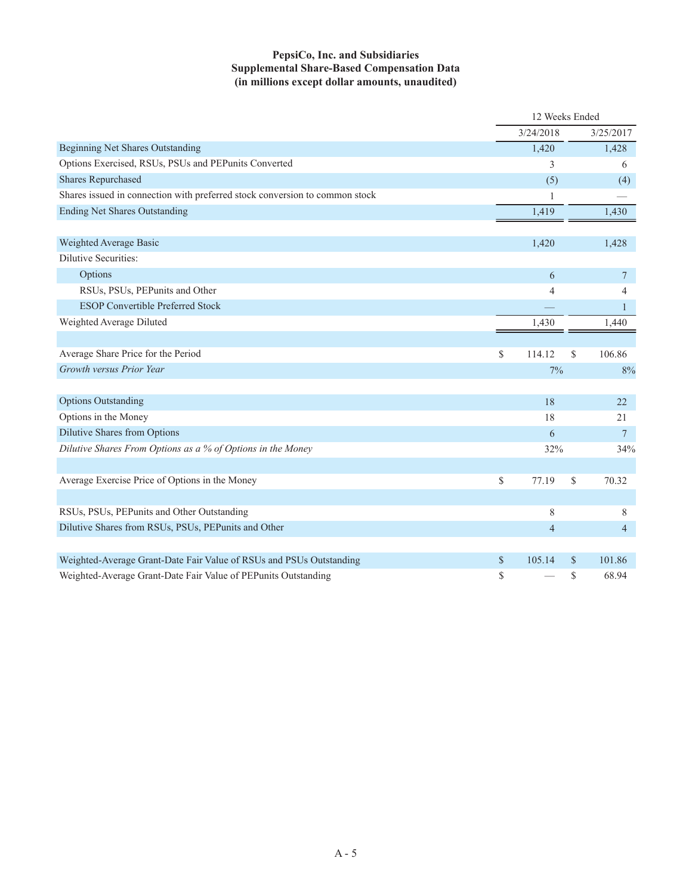### **PepsiCo, Inc. and Subsidiaries Supplemental Share-Based Compensation Data (in millions except dollar amounts, unaudited)**

|                                                                             | 12 Weeks Ended |               |                |
|-----------------------------------------------------------------------------|----------------|---------------|----------------|
|                                                                             | 3/24/2018      |               | 3/25/2017      |
| <b>Beginning Net Shares Outstanding</b>                                     | 1,420          |               | 1,428          |
| Options Exercised, RSUs, PSUs and PEPunits Converted                        | 3              |               | 6              |
| <b>Shares Repurchased</b>                                                   | (5)            |               | (4)            |
| Shares issued in connection with preferred stock conversion to common stock | 1              |               |                |
| <b>Ending Net Shares Outstanding</b>                                        | 1,419          |               | 1,430          |
|                                                                             |                |               |                |
| Weighted Average Basic                                                      | 1,420          |               | 1,428          |
| Dilutive Securities:                                                        |                |               |                |
| Options                                                                     | 6              |               | $\tau$         |
| RSUs, PSUs, PEPunits and Other                                              | 4              |               | 4              |
| <b>ESOP Convertible Preferred Stock</b>                                     |                |               | 1              |
| Weighted Average Diluted                                                    | 1,430          |               | 1,440          |
|                                                                             |                |               |                |
| Average Share Price for the Period                                          | \$<br>114.12   | <sup>\$</sup> | 106.86         |
| Growth versus Prior Year                                                    | 7%             |               | 8%             |
|                                                                             |                |               |                |
| <b>Options Outstanding</b>                                                  | 18             |               | 22             |
| Options in the Money                                                        | 18             |               | 21             |
| Dilutive Shares from Options                                                | 6              |               | $\tau$         |
| Dilutive Shares From Options as a % of Options in the Money                 | 32%            |               | 34%            |
|                                                                             |                |               |                |
| Average Exercise Price of Options in the Money                              | \$<br>77.19    | \$            | 70.32          |
|                                                                             |                |               |                |
| RSUs, PSUs, PEPunits and Other Outstanding                                  | 8              |               | 8              |
| Dilutive Shares from RSUs, PSUs, PEPunits and Other                         | 4              |               | $\overline{4}$ |
|                                                                             |                |               |                |
| Weighted-Average Grant-Date Fair Value of RSUs and PSUs Outstanding         | \$<br>105.14   | <sup>S</sup>  | 101.86         |
| Weighted-Average Grant-Date Fair Value of PEPunits Outstanding              | \$             | \$            | 68.94          |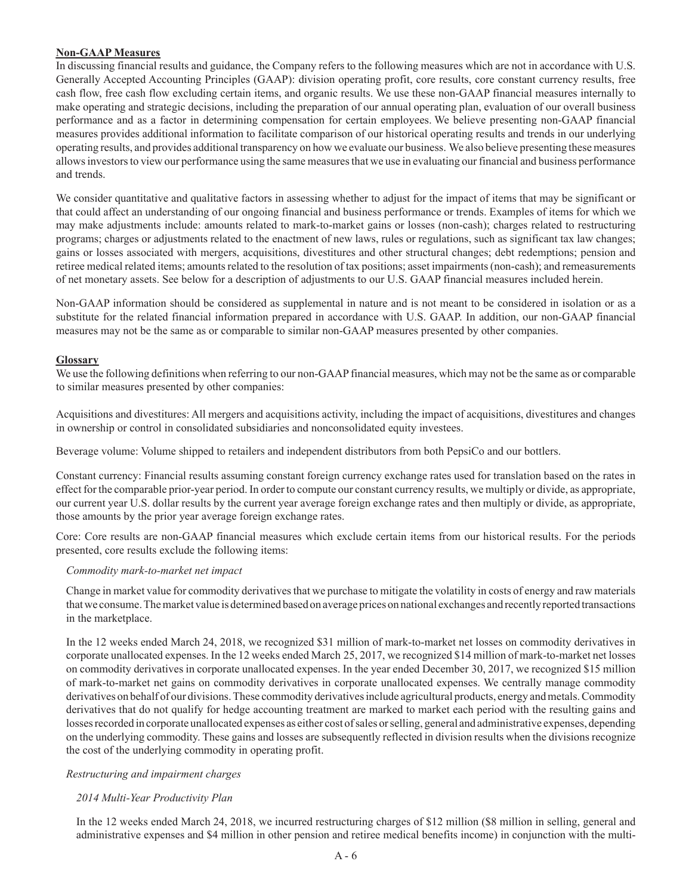#### **Non-GAAP Measures**

In discussing financial results and guidance, the Company refers to the following measures which are not in accordance with U.S. Generally Accepted Accounting Principles (GAAP): division operating profit, core results, core constant currency results, free cash flow, free cash flow excluding certain items, and organic results. We use these non-GAAP financial measures internally to make operating and strategic decisions, including the preparation of our annual operating plan, evaluation of our overall business performance and as a factor in determining compensation for certain employees. We believe presenting non-GAAP financial measures provides additional information to facilitate comparison of our historical operating results and trends in our underlying operating results, and provides additional transparency on how we evaluate our business. We also believe presenting these measures allows investors to view our performance using the same measures that we use in evaluating our financial and business performance and trends.

We consider quantitative and qualitative factors in assessing whether to adjust for the impact of items that may be significant or that could affect an understanding of our ongoing financial and business performance or trends. Examples of items for which we may make adjustments include: amounts related to mark-to-market gains or losses (non-cash); charges related to restructuring programs; charges or adjustments related to the enactment of new laws, rules or regulations, such as significant tax law changes; gains or losses associated with mergers, acquisitions, divestitures and other structural changes; debt redemptions; pension and retiree medical related items; amounts related to the resolution of tax positions; asset impairments (non-cash); and remeasurements of net monetary assets. See below for a description of adjustments to our U.S. GAAP financial measures included herein.

Non-GAAP information should be considered as supplemental in nature and is not meant to be considered in isolation or as a substitute for the related financial information prepared in accordance with U.S. GAAP. In addition, our non-GAAP financial measures may not be the same as or comparable to similar non-GAAP measures presented by other companies.

#### **Glossary**

We use the following definitions when referring to our non-GAAP financial measures, which may not be the same as or comparable to similar measures presented by other companies:

Acquisitions and divestitures: All mergers and acquisitions activity, including the impact of acquisitions, divestitures and changes in ownership or control in consolidated subsidiaries and nonconsolidated equity investees.

Beverage volume: Volume shipped to retailers and independent distributors from both PepsiCo and our bottlers.

Constant currency: Financial results assuming constant foreign currency exchange rates used for translation based on the rates in effect for the comparable prior-year period. In order to compute our constant currency results, we multiply or divide, as appropriate, our current year U.S. dollar results by the current year average foreign exchange rates and then multiply or divide, as appropriate, those amounts by the prior year average foreign exchange rates.

Core: Core results are non-GAAP financial measures which exclude certain items from our historical results. For the periods presented, core results exclude the following items:

#### *Commodity mark-to-market net impact*

Change in market value for commodity derivatives that we purchase to mitigate the volatility in costs of energy and raw materials that we consume. The market value is determined based on average prices on national exchanges and recently reported transactions in the marketplace.

In the 12 weeks ended March 24, 2018, we recognized \$31 million of mark-to-market net losses on commodity derivatives in corporate unallocated expenses. In the 12 weeks ended March 25, 2017, we recognized \$14 million of mark-to-market net losses on commodity derivatives in corporate unallocated expenses. In the year ended December 30, 2017, we recognized \$15 million of mark-to-market net gains on commodity derivatives in corporate unallocated expenses. We centrally manage commodity derivatives on behalf of our divisions. These commodity derivatives include agricultural products, energy and metals. Commodity derivatives that do not qualify for hedge accounting treatment are marked to market each period with the resulting gains and losses recorded in corporate unallocated expenses as either cost of sales or selling, general and administrative expenses, depending on the underlying commodity. These gains and losses are subsequently reflected in division results when the divisions recognize the cost of the underlying commodity in operating profit.

#### *Restructuring and impairment charges*

### *2014 Multi-Year Productivity Plan*

In the 12 weeks ended March 24, 2018, we incurred restructuring charges of \$12 million (\$8 million in selling, general and administrative expenses and \$4 million in other pension and retiree medical benefits income) in conjunction with the multi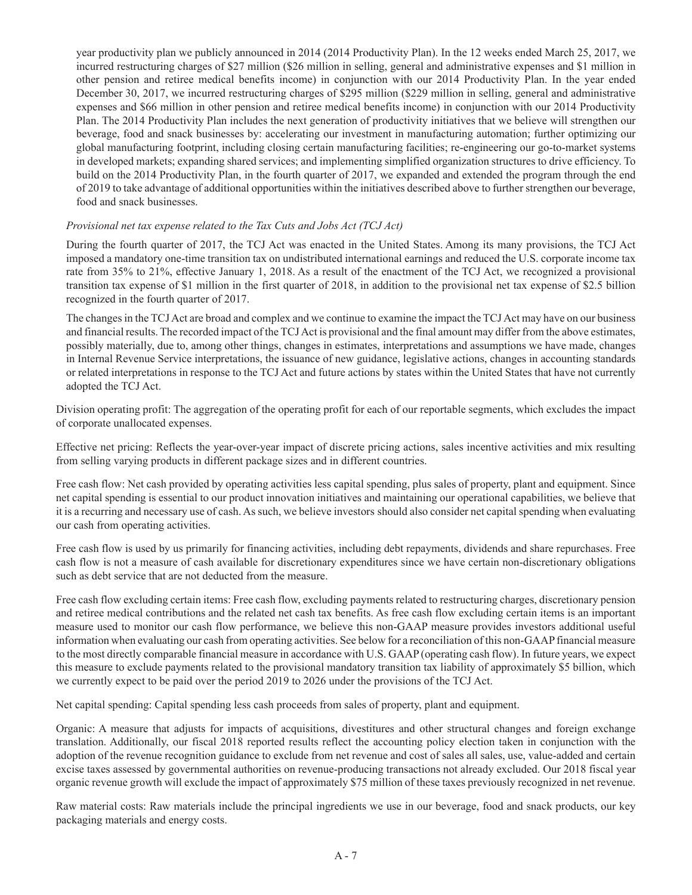year productivity plan we publicly announced in 2014 (2014 Productivity Plan). In the 12 weeks ended March 25, 2017, we incurred restructuring charges of \$27 million (\$26 million in selling, general and administrative expenses and \$1 million in other pension and retiree medical benefits income) in conjunction with our 2014 Productivity Plan. In the year ended December 30, 2017, we incurred restructuring charges of \$295 million (\$229 million in selling, general and administrative expenses and \$66 million in other pension and retiree medical benefits income) in conjunction with our 2014 Productivity Plan. The 2014 Productivity Plan includes the next generation of productivity initiatives that we believe will strengthen our beverage, food and snack businesses by: accelerating our investment in manufacturing automation; further optimizing our global manufacturing footprint, including closing certain manufacturing facilities; re-engineering our go-to-market systems in developed markets; expanding shared services; and implementing simplified organization structures to drive efficiency. To build on the 2014 Productivity Plan, in the fourth quarter of 2017, we expanded and extended the program through the end of 2019 to take advantage of additional opportunities within the initiatives described above to further strengthen our beverage, food and snack businesses.

#### *Provisional net tax expense related to the Tax Cuts and Jobs Act (TCJ Act)*

During the fourth quarter of 2017, the TCJ Act was enacted in the United States. Among its many provisions, the TCJ Act imposed a mandatory one-time transition tax on undistributed international earnings and reduced the U.S. corporate income tax rate from 35% to 21%, effective January 1, 2018. As a result of the enactment of the TCJ Act, we recognized a provisional transition tax expense of \$1 million in the first quarter of 2018, in addition to the provisional net tax expense of \$2.5 billion recognized in the fourth quarter of 2017.

The changes in the TCJ Act are broad and complex and we continue to examine the impact the TCJ Act may have on our business and financial results. The recorded impact of the TCJ Act is provisional and the final amount may differ from the above estimates, possibly materially, due to, among other things, changes in estimates, interpretations and assumptions we have made, changes in Internal Revenue Service interpretations, the issuance of new guidance, legislative actions, changes in accounting standards or related interpretations in response to the TCJ Act and future actions by states within the United States that have not currently adopted the TCJ Act.

Division operating profit: The aggregation of the operating profit for each of our reportable segments, which excludes the impact of corporate unallocated expenses.

Effective net pricing: Reflects the year-over-year impact of discrete pricing actions, sales incentive activities and mix resulting from selling varying products in different package sizes and in different countries.

Free cash flow: Net cash provided by operating activities less capital spending, plus sales of property, plant and equipment. Since net capital spending is essential to our product innovation initiatives and maintaining our operational capabilities, we believe that it is a recurring and necessary use of cash. As such, we believe investors should also consider net capital spending when evaluating our cash from operating activities.

Free cash flow is used by us primarily for financing activities, including debt repayments, dividends and share repurchases. Free cash flow is not a measure of cash available for discretionary expenditures since we have certain non-discretionary obligations such as debt service that are not deducted from the measure.

Free cash flow excluding certain items: Free cash flow, excluding payments related to restructuring charges, discretionary pension and retiree medical contributions and the related net cash tax benefits. As free cash flow excluding certain items is an important measure used to monitor our cash flow performance, we believe this non-GAAP measure provides investors additional useful information when evaluating our cash from operating activities. See below for a reconciliation of this non-GAAP financial measure to the most directly comparable financial measure in accordance with U.S. GAAP (operating cash flow). In future years, we expect this measure to exclude payments related to the provisional mandatory transition tax liability of approximately \$5 billion, which we currently expect to be paid over the period 2019 to 2026 under the provisions of the TCJ Act.

Net capital spending: Capital spending less cash proceeds from sales of property, plant and equipment.

Organic: A measure that adjusts for impacts of acquisitions, divestitures and other structural changes and foreign exchange translation. Additionally, our fiscal 2018 reported results reflect the accounting policy election taken in conjunction with the adoption of the revenue recognition guidance to exclude from net revenue and cost of sales all sales, use, value-added and certain excise taxes assessed by governmental authorities on revenue-producing transactions not already excluded. Our 2018 fiscal year organic revenue growth will exclude the impact of approximately \$75 million of these taxes previously recognized in net revenue.

Raw material costs: Raw materials include the principal ingredients we use in our beverage, food and snack products, our key packaging materials and energy costs.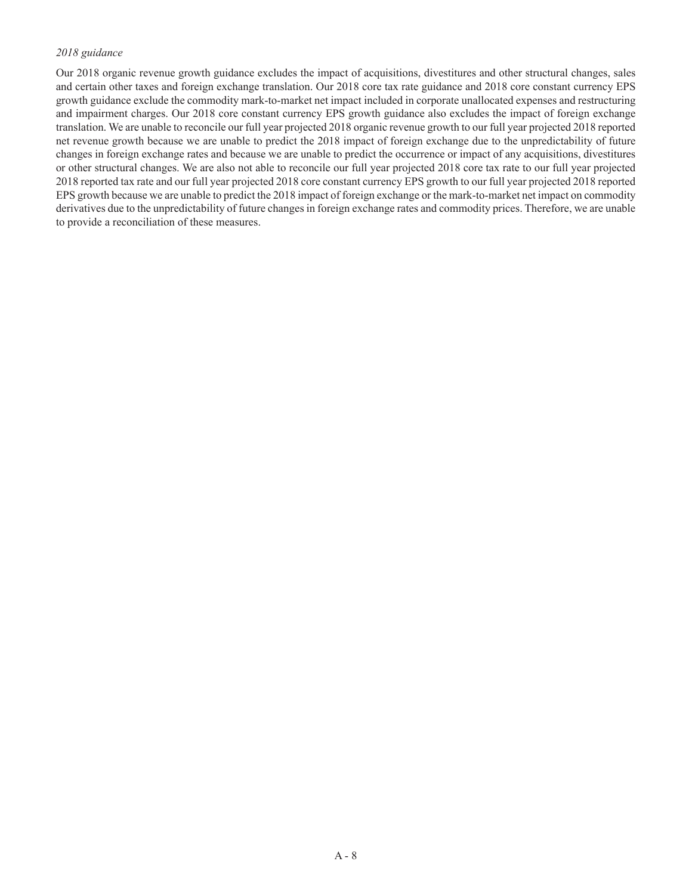#### *2018 guidance*

Our 2018 organic revenue growth guidance excludes the impact of acquisitions, divestitures and other structural changes, sales and certain other taxes and foreign exchange translation. Our 2018 core tax rate guidance and 2018 core constant currency EPS growth guidance exclude the commodity mark-to-market net impact included in corporate unallocated expenses and restructuring and impairment charges. Our 2018 core constant currency EPS growth guidance also excludes the impact of foreign exchange translation. We are unable to reconcile our full year projected 2018 organic revenue growth to our full year projected 2018 reported net revenue growth because we are unable to predict the 2018 impact of foreign exchange due to the unpredictability of future changes in foreign exchange rates and because we are unable to predict the occurrence or impact of any acquisitions, divestitures or other structural changes. We are also not able to reconcile our full year projected 2018 core tax rate to our full year projected 2018 reported tax rate and our full year projected 2018 core constant currency EPS growth to our full year projected 2018 reported EPS growth because we are unable to predict the 2018 impact of foreign exchange or the mark-to-market net impact on commodity derivatives due to the unpredictability of future changes in foreign exchange rates and commodity prices. Therefore, we are unable to provide a reconciliation of these measures.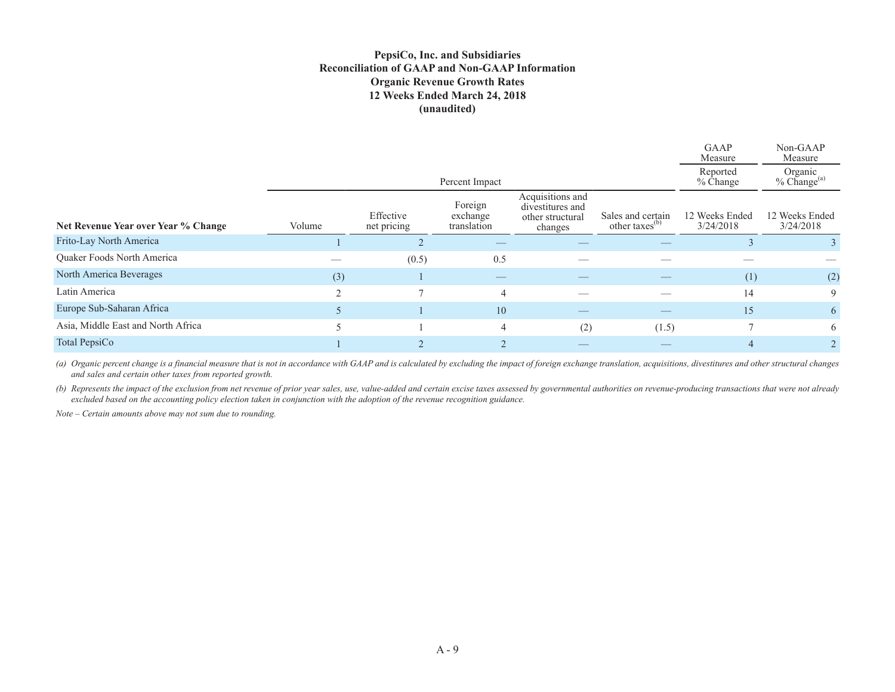#### **PepsiCo, Inc. and Subsidiaries Reconciliation of GAAP and Non-GAAP Information Organic Revenue Growth Rates 12 Weeks Ended March 24, 2018 (unaudited)**

|                                     |        |                          |                                    |                                                                     |                                                 | GAAP<br>Measure             | Non-GAAP<br>Measure            |
|-------------------------------------|--------|--------------------------|------------------------------------|---------------------------------------------------------------------|-------------------------------------------------|-----------------------------|--------------------------------|
|                                     |        |                          | Percent Impact                     |                                                                     |                                                 | Reported<br>% Change        | Organic<br>$%$ Change $^{(a)}$ |
| Net Revenue Year over Year % Change | Volume | Effective<br>net pricing | Foreign<br>exchange<br>translation | Acquisitions and<br>divestitures and<br>other structural<br>changes | Sales and certain<br>other taxes <sup>(b)</sup> | 12 Weeks Ended<br>3/24/2018 | 12 Weeks Ended<br>3/24/2018    |
| Frito-Lay North America             |        |                          |                                    |                                                                     |                                                 |                             |                                |
| Quaker Foods North America          |        | (0.5)                    | 0.5                                |                                                                     |                                                 |                             |                                |
| North America Beverages             | (3)    |                          | __                                 |                                                                     |                                                 | (1)                         | (2)                            |
| Latin America                       |        |                          | $\overline{4}$                     |                                                                     |                                                 | 14                          | 9                              |
| Europe Sub-Saharan Africa           |        |                          | 10                                 |                                                                     |                                                 | 15                          | 6                              |
| Asia, Middle East and North Africa  |        |                          | $\overline{4}$                     | (2)                                                                 | (1.5)                                           |                             | 6                              |
| Total PepsiCo                       |        |                          |                                    |                                                                     |                                                 |                             |                                |

(a) Organic percent change is a financial measure that is not in accordance with GAAP and is calculated by excluding the impact of foreign exchange translation, acquisitions, divestitures and other structural changes *and sales and certain other taxes from reported growth.* 

*(b) Represents the impact of the exclusion from net revenue of prior year sales, use, value-added and certain excise taxes assessed by governmental authorities on revenue-producing transactions that were not already excluded based on the accounting policy election taken in conjunction with the adoption of the revenue recognition guidance.*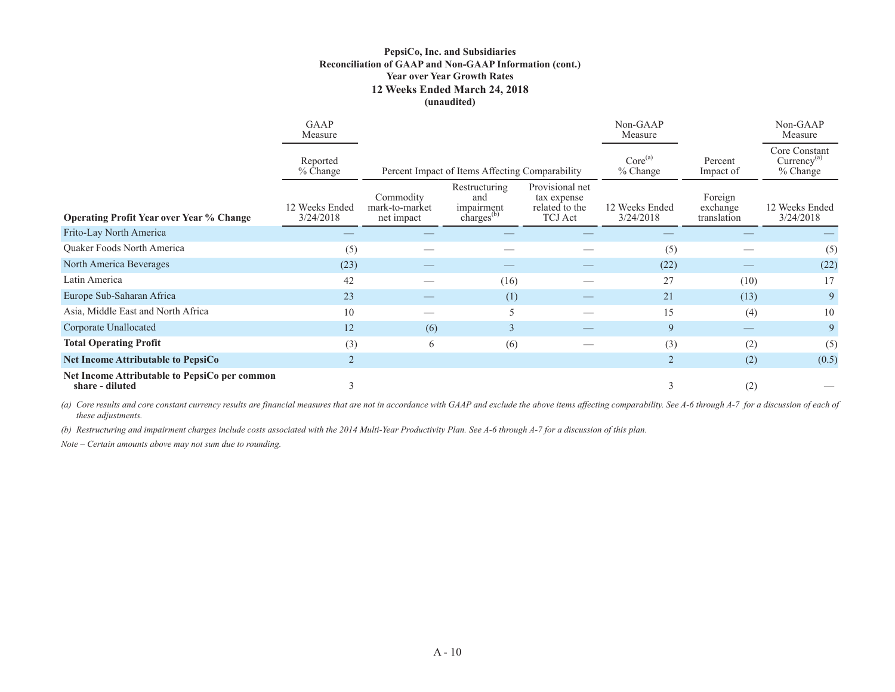#### **PepsiCo, Inc. and Subsidiaries Reconciliation of GAAP and Non-GAAP Information (cont.) Year over Year Growth Rates 12 Weeks Ended March 24, 2018 (unaudited)**

|                                                                  | GAAP<br>Measure             |                                                 |                                                              |                                                                                      | Non-GAAP<br>Measure                           |                                    | Non-GAAP<br>Measure         |
|------------------------------------------------------------------|-----------------------------|-------------------------------------------------|--------------------------------------------------------------|--------------------------------------------------------------------------------------|-----------------------------------------------|------------------------------------|-----------------------------|
|                                                                  | Reported<br>% Change        | Percent Impact of Items Affecting Comparability | Core <sup>(a)</sup><br>% Change                              | Percent<br>Impact of                                                                 | Core Constant<br>$Currency^{(a)}$<br>% Change |                                    |                             |
| <b>Operating Profit Year over Year % Change</b>                  | 12 Weeks Ended<br>3/24/2018 | Commodity<br>mark-to-market<br>net impact       | Restructuring<br>and<br>impairment<br>charges <sup>(b)</sup> | Provisional net<br>tax expense<br>12 Weeks Ended<br>related to the<br><b>TCJ</b> Act |                                               | Foreign<br>exchange<br>translation | 12 Weeks Ended<br>3/24/2018 |
| Frito-Lay North America                                          |                             |                                                 |                                                              |                                                                                      |                                               |                                    |                             |
| Quaker Foods North America                                       | (5)                         |                                                 |                                                              |                                                                                      | (5)                                           |                                    | (5)                         |
| North America Beverages                                          | (23)                        |                                                 |                                                              |                                                                                      | (22)                                          |                                    | (22)                        |
| Latin America                                                    | 42                          |                                                 | (16)                                                         |                                                                                      | 27                                            | (10)                               | 17                          |
| Europe Sub-Saharan Africa                                        | 23                          |                                                 | (1)                                                          |                                                                                      | 21                                            | (13)                               | 9                           |
| Asia, Middle East and North Africa                               | 10                          |                                                 | 5                                                            |                                                                                      | 15                                            | (4)                                | 10                          |
| Corporate Unallocated                                            | 12                          | (6)                                             | 3                                                            |                                                                                      | 9                                             |                                    | 9                           |
| <b>Total Operating Profit</b>                                    | (3)                         | 6                                               | (6)                                                          |                                                                                      | (3)                                           | (2)                                | (5)                         |
| <b>Net Income Attributable to PepsiCo</b>                        | 2                           |                                                 |                                                              |                                                                                      | $\overline{2}$                                | (2)                                | (0.5)                       |
| Net Income Attributable to PepsiCo per common<br>share - diluted |                             |                                                 |                                                              |                                                                                      | 3                                             | (2)                                |                             |

(a) Core results and core constant currency results are financial measures that are not in accordance with GAAP and exclude the above items affecting comparability. See A-6 through A-7 for a discussion of each of *these adjustments.*

*(b) Restructuring and impairment charges include costs associated with the 2014 Multi-Year Productivity Plan. See A-6 through A-7 for a discussion of this plan.*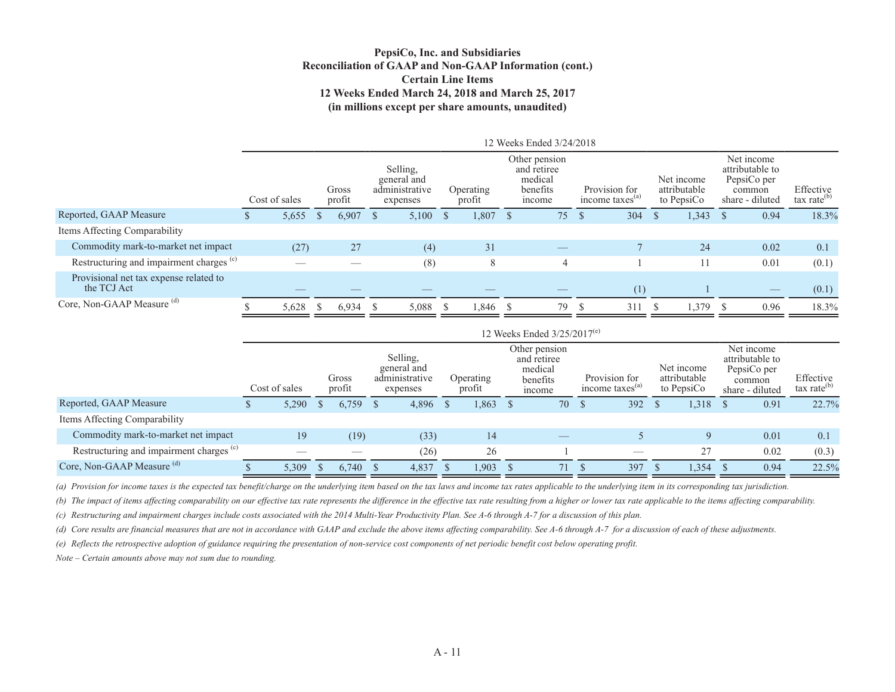#### **PepsiCo, Inc. and Subsidiaries Reconciliation of GAAP and Non-GAAP Information (cont.) Certain Line Items12 Weeks Ended March 24, 2018 and March 25, 2017 (in millions except per share amounts, unaudited)**

|                                                       |               |       |              |                 |                                                       |    |                     |     | 12 Weeks Ended 3/24/2018                                      |              |                                     |              |                                          |                                                                           |                                      |
|-------------------------------------------------------|---------------|-------|--------------|-----------------|-------------------------------------------------------|----|---------------------|-----|---------------------------------------------------------------|--------------|-------------------------------------|--------------|------------------------------------------|---------------------------------------------------------------------------|--------------------------------------|
|                                                       | Cost of sales |       |              | Gross<br>profit | Selling,<br>general and<br>administrative<br>expenses |    | Operating<br>profit |     | Other pension<br>and retiree<br>medical<br>benefits<br>income |              | Provision for<br>income taxes $(a)$ |              | Net income<br>attributable<br>to PepsiCo | Net income<br>attributable to<br>PepsiCo per<br>common<br>share - diluted | Effective<br>tax rate <sup>(b)</sup> |
| Reported, GAAP Measure                                |               | 5,655 | <sup>S</sup> | 6,907           | $5,100$ \$                                            |    | 1,807               | - S | 75                                                            | <sup>S</sup> | 304                                 | <sup>S</sup> | 1,343                                    | 0.94                                                                      | 18.3%                                |
| Items Affecting Comparability                         |               |       |              |                 |                                                       |    |                     |     |                                                               |              |                                     |              |                                          |                                                                           |                                      |
| Commodity mark-to-market net impact                   |               | (27)  |              | 27              | (4)                                                   |    | 31                  |     |                                                               |              |                                     |              | 24                                       | 0.02                                                                      | 0.1                                  |
| Restructuring and impairment charges <sup>(c)</sup>   |               |       |              |                 | (8)                                                   |    | 8                   |     | $\overline{4}$                                                |              |                                     |              | 11                                       | 0.01                                                                      | (0.1)                                |
| Provisional net tax expense related to<br>the TCJ Act |               |       |              |                 |                                                       |    |                     |     |                                                               |              | (1)                                 |              |                                          |                                                                           | (0.1)                                |
| Core, Non-GAAP Measure <sup>(d)</sup>                 |               | 5,628 | -S           | 6,934           | 5,088                                                 | -S | 1.846 \$            |     | 79                                                            | -S           | 311                                 |              | .379S                                    | 0.96                                                                      | 18.3%                                |
|                                                       |               |       |              |                 |                                                       |    |                     |     |                                                               |              |                                     |              |                                          |                                                                           |                                      |

|                                                     |               |          |                 |                                                       |                     |              | 12 Weeks Ended $3/25/2017^{(e)}$                              |              |                                              |                                          |                                                                           |      |                                      |
|-----------------------------------------------------|---------------|----------|-----------------|-------------------------------------------------------|---------------------|--------------|---------------------------------------------------------------|--------------|----------------------------------------------|------------------------------------------|---------------------------------------------------------------------------|------|--------------------------------------|
|                                                     | Cost of sales |          | Gross<br>profit | Selling.<br>general and<br>administrative<br>expenses | Operating<br>profit |              | Other pension<br>and retiree<br>medical<br>benefits<br>income |              | Provision for<br>income taxes <sup>(a)</sup> | Net income<br>attributable<br>to PepsiCo | Net income<br>attributable to<br>PepsiCo per<br>common<br>share - diluted |      | Effective<br>tax rate <sup>(b)</sup> |
| Reported, GAAP Measure                              | 5,290         | <b>S</b> | 6,759           | 4,896                                                 | 1,863               | <sup>S</sup> | 70                                                            | <sup>S</sup> | 392                                          | $1,318$ \$                               |                                                                           | 0.91 | 22.7%                                |
| Items Affecting Comparability                       |               |          |                 |                                                       |                     |              |                                                               |              |                                              |                                          |                                                                           |      |                                      |
| Commodity mark-to-market net impact                 | 19            |          | (19)            | (33)                                                  | 14                  |              |                                                               |              |                                              | 9                                        |                                                                           | 0.01 | 0.1                                  |
| Restructuring and impairment charges <sup>(c)</sup> |               |          | __              | (26)                                                  | 26                  |              |                                                               |              |                                              | 27                                       |                                                                           | 0.02 | (0.3)                                |
| Core, Non-GAAP Measure <sup>(d)</sup>               | 5,309         |          | 6.740           | 4,837                                                 | 1.903               |              | 71                                                            |              | 397                                          | .354S                                    |                                                                           | 0.94 | 22.5%                                |

*(a) Provision for income taxes is the expected tax benefit/charge on the underlying item based on the tax laws and income tax rates applicable to the underlying item in its corresponding tax jurisdiction.*

*(b) The impact of items affecting comparability on our effective tax rate represents the difference in the effective tax rate resulting from a higher or lower tax rate applicable to the items affecting comparability.*

*(c) Restructuring and impairment charges include costs associated with the 2014 Multi-Year Productivity Plan. See A-6 through A-7 for a discussion of this plan.*

*(d) Core results are financial measures that are not in accordance with GAAP and exclude the above items affecting comparability. See A-6 through A-7 for a discussion of each of these adjustments.*

*(e) Reflects the retrospective adoption of guidance requiring the presentation of non-service cost components of net periodic benefit cost below operating profit.*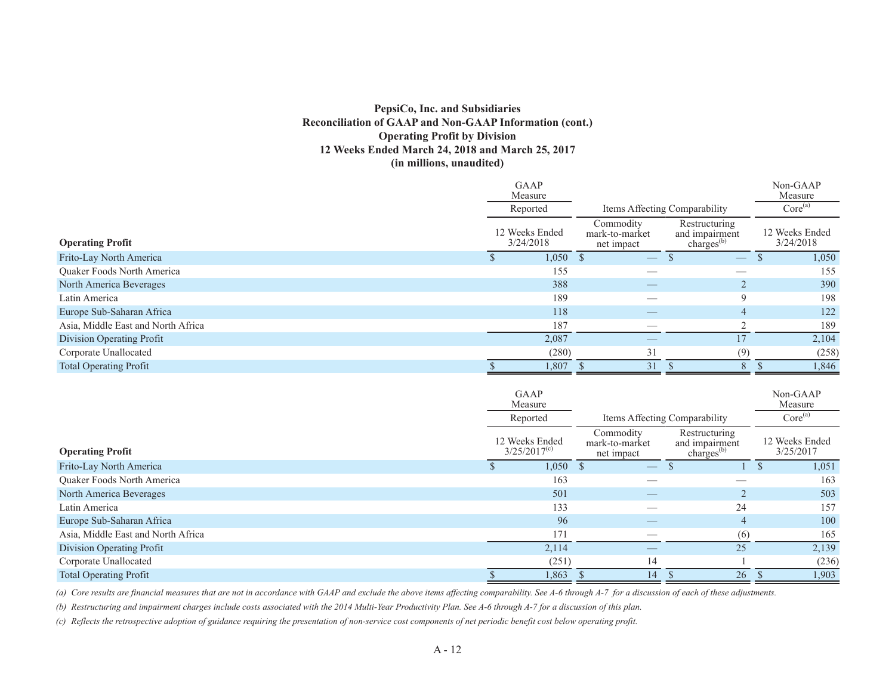### **PepsiCo, Inc. and Subsidiaries Reconciliation of GAAP and Non-GAAP Information (cont.) Operating Profit by Division 12 Weeks Ended March 24, 2018 and March 25, 2017 (in millions, unaudited)**

|                                    | <b>GAAP</b><br>Measure      |                                           |                                                           | Non-GAAP<br>Measure         |
|------------------------------------|-----------------------------|-------------------------------------------|-----------------------------------------------------------|-----------------------------|
|                                    | Reported                    | Items Affecting Comparability             | Core <sup>(a)</sup>                                       |                             |
| <b>Operating Profit</b>            | 12 Weeks Ended<br>3/24/2018 | Commodity<br>mark-to-market<br>net impact | Restructuring<br>and impairment<br>charges <sup>(b)</sup> | 12 Weeks Ended<br>3/24/2018 |
| Frito-Lay North America            | 1,050                       | $\overline{\phantom{m}}$                  | $\overline{\phantom{m}}$                                  | 1,050                       |
| <b>Ouaker Foods North America</b>  | 155                         |                                           |                                                           | 155                         |
| North America Beverages            | 388                         |                                           |                                                           | 390                         |
| Latin America                      | 189                         |                                           | 9                                                         | 198                         |
| Europe Sub-Saharan Africa          | 118                         |                                           | 4                                                         | 122                         |
| Asia, Middle East and North Africa | 187                         |                                           |                                                           | 189                         |
| Division Operating Profit          | 2,087                       |                                           | 17                                                        | 2,104                       |
| Corporate Unallocated              | (280)                       | 31                                        | (9)                                                       | (258)                       |
| <b>Total Operating Profit</b>      | 1,807                       | 31                                        | 8                                                         | 1,846                       |

|                                    | <b>GAAP</b><br>Measure                    |                                           |                                                     | Non-GAAP<br>Measure         |  |
|------------------------------------|-------------------------------------------|-------------------------------------------|-----------------------------------------------------|-----------------------------|--|
|                                    | Items Affecting Comparability<br>Reported |                                           |                                                     | Core <sup>(a)</sup>         |  |
| <b>Operating Profit</b>            | 12 Weeks Ended<br>$3/25/2017^{(c)}$       | Commodity<br>mark-to-market<br>net impact | Restructuring<br>and impairment<br>charges $^{(b)}$ | 12 Weeks Ended<br>3/25/2017 |  |
| Frito-Lay North America            | 1,050                                     | $\overline{\phantom{m}}$                  |                                                     | 1,051                       |  |
| Quaker Foods North America         | 163                                       |                                           |                                                     | 163                         |  |
| North America Beverages            | 501                                       |                                           |                                                     | 503                         |  |
| Latin America                      | 133                                       |                                           | 24                                                  | 157                         |  |
| Europe Sub-Saharan Africa          | 96                                        |                                           | 4                                                   | 100                         |  |
| Asia, Middle East and North Africa | 171                                       |                                           | (6)                                                 | 165                         |  |
| Division Operating Profit          | 2,114                                     |                                           | 25                                                  | 2,139                       |  |
| Corporate Unallocated              | (251)                                     | 14                                        |                                                     | (236)                       |  |
| <b>Total Operating Profit</b>      | 1,863                                     | 14                                        | 26                                                  | 1,903                       |  |

*(a) Core results are financial measures that are not in accordance with GAAP and exclude the above items affecting comparability. See A-6 through A-7 for a discussion of each of these adjustments.*

*(b) Restructuring and impairment charges include costs associated with the 2014 Multi-Year Productivity Plan. See A-6 through A-7 for a discussion of this plan.*

*(c) Reflects the retrospective adoption of guidance requiring the presentation of non-service cost components of net periodic benefit cost below operating profit.*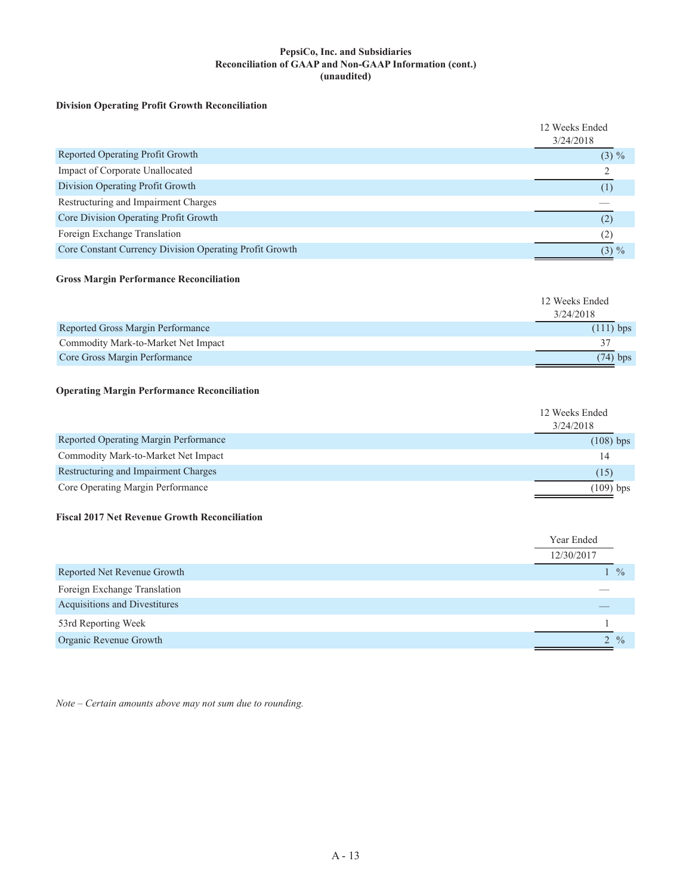#### **PepsiCo, Inc. and Subsidiaries Reconciliation of GAAP and Non-GAAP Information (cont.) (unaudited)**

#### **Division Operating Profit Growth Reconciliation**

|                                                         | 12 Weeks Ended |
|---------------------------------------------------------|----------------|
|                                                         | 3/24/2018      |
| Reported Operating Profit Growth                        | $(3) \%$       |
| Impact of Corporate Unallocated                         |                |
| Division Operating Profit Growth                        |                |
| Restructuring and Impairment Charges                    |                |
| Core Division Operating Profit Growth                   | (2)            |
| Foreign Exchange Translation                            | (2)            |
| Core Constant Currency Division Operating Profit Growth | $(3) \%$       |

#### **Gross Margin Performance Reconciliation**

|                                     | 12 Weeks Ended |
|-------------------------------------|----------------|
|                                     | 3/24/2018      |
| Reported Gross Margin Performance   | $(111)$ bps    |
| Commodity Mark-to-Market Net Impact |                |
| Core Gross Margin Performance       | $(74)$ bps     |

#### **Operating Margin Performance Reconciliation**

|                                       | 12 Weeks Ended |
|---------------------------------------|----------------|
|                                       | 3/24/2018      |
| Reported Operating Margin Performance | $(108)$ bps    |
| Commodity Mark-to-Market Net Impact   | 14             |
| Restructuring and Impairment Charges  | (15)           |
| Core Operating Margin Performance     | $(109)$ bps    |

#### **Fiscal 2017 Net Revenue Growth Reconciliation**

|                               | Year Ended      |
|-------------------------------|-----------------|
|                               | 12/30/2017      |
| Reported Net Revenue Growth   | $\frac{0}{0}$   |
| Foreign Exchange Translation  |                 |
| Acquisitions and Divestitures |                 |
| 53rd Reporting Week           |                 |
| Organic Revenue Growth        | $2 \frac{9}{6}$ |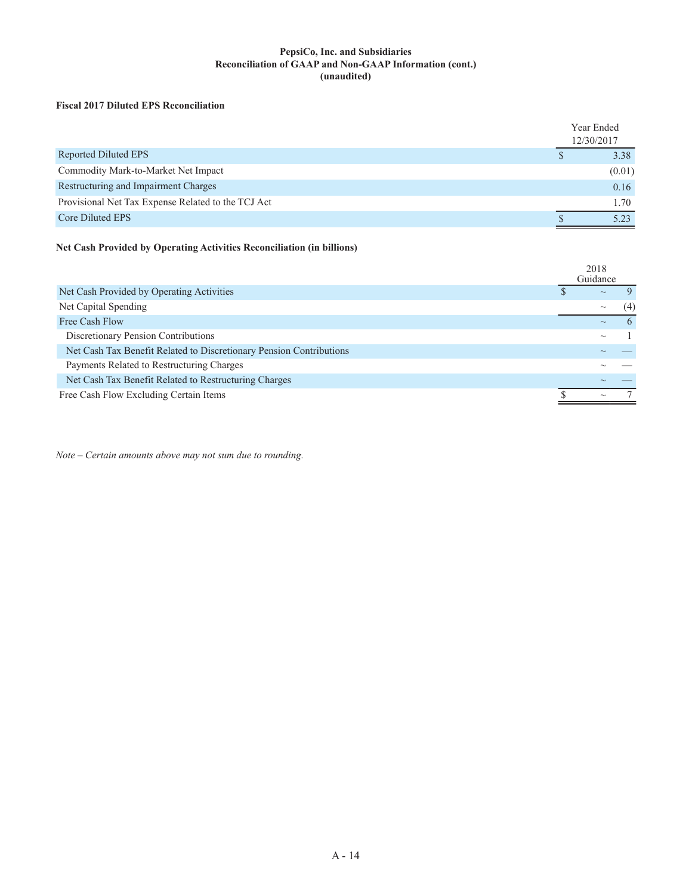#### **PepsiCo, Inc. and Subsidiaries Reconciliation of GAAP and Non-GAAP Information (cont.) (unaudited)**

#### **Fiscal 2017 Diluted EPS Reconciliation**

|                                                    | Year Ended<br>12/30/2017 |  |
|----------------------------------------------------|--------------------------|--|
| Reported Diluted EPS                               | 3.38                     |  |
| Commodity Mark-to-Market Net Impact                | (0.01)                   |  |
| Restructuring and Impairment Charges               | 0.16                     |  |
| Provisional Net Tax Expense Related to the TCJ Act | 1.70                     |  |
| Core Diluted EPS                                   | 5 23                     |  |

### **Net Cash Provided by Operating Activities Reconciliation (in billions)**

|                                                                     | 2018<br>Guidance |              |
|---------------------------------------------------------------------|------------------|--------------|
| Net Cash Provided by Operating Activities                           | $\sim$           |              |
| Net Capital Spending                                                | $\sim$           | (4)          |
| Free Cash Flow                                                      | $\sim$           | $\mathsf{h}$ |
| Discretionary Pension Contributions                                 | $\sim$           |              |
| Net Cash Tax Benefit Related to Discretionary Pension Contributions |                  |              |
| Payments Related to Restructuring Charges                           |                  |              |
| Net Cash Tax Benefit Related to Restructuring Charges               |                  |              |
| Free Cash Flow Excluding Certain Items                              | $\sim$           |              |